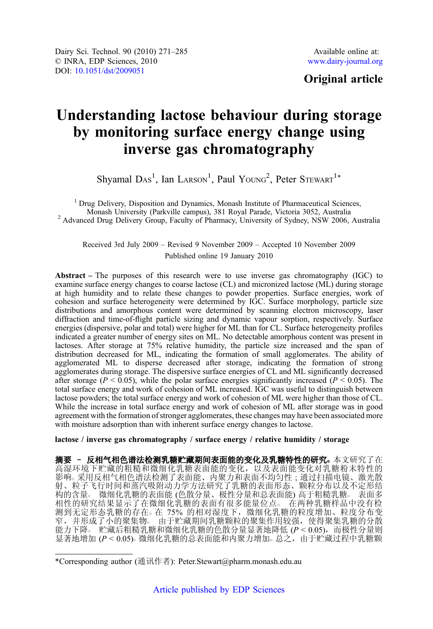# Original article

# Understanding lactose behaviour during storage by monitoring surface energy change using inverse gas chromatography

Shyamal DAS<sup>1</sup>, Ian LARSON<sup>1</sup>, Paul YOUNG<sup>2</sup>, Peter STEWART<sup>1\*</sup>

<sup>1</sup> Drug Delivery, Disposition and Dynamics, Monash Institute of Pharmaceutical Sciences, Monash University (Parkville campus), 381 Royal Parade, Victoria 3052, Australia <sup>2</sup> Advanced Drug Delivery Group, Faculty of Pharmacy, University of Sydney, NSW 2006, Australia

Received 3rd July 2009 – Revised 9 November 2009 – Accepted 10 November 2009 Published online 19 January 2010

Abstract – The purposes of this research were to use inverse gas chromatography (IGC) to examine surface energy changes to coarse lactose (CL) and micronized lactose (ML) during storage at high humidity and to relate these changes to powder properties. Surface energies, work of cohesion and surface heterogeneity were determined by IGC. Surface morphology, particle size distributions and amorphous content were determined by scanning electron microscopy, laser diffraction and time-of-flight particle sizing and dynamic vapour sorption, respectively. Surface energies (dispersive, polar and total) were higher for ML than for CL. Surface heterogeneity profiles indicated a greater number of energy sites on ML. No detectable amorphous content was present in lactoses. After storage at 75% relative humidity, the particle size increased and the span of distribution decreased for ML, indicating the formation of small agglomerates. The ability of agglomerated ML to disperse decreased after storage, indicating the formation of strong agglomerates during storage. The dispersive surface energies of CL and ML significantly decreased after storage ( $P < 0.05$ ), while the polar surface energies significantly increased ( $P < 0.05$ ). The total surface energy and work of cohesion of ML increased. IGC was useful to distinguish between lactose powders; the total surface energy and work of cohesion of ML were higher than those of CL. While the increase in total surface energy and work of cohesion of ML after storage was in good agreement with the formation of stronger agglomerates, these changes may have been associated more with moisture adsorption than with inherent surface energy changes to lactose.

lactose / inverse gas chromatography / surface energy / relative humidity / storage

摘要 - 反相气相色谱法检测乳糖贮藏期间表面能的变化及乳糖特性的研究。本文研究了在 高湿环境下贮藏的粗糙和微细化乳糖表面能的变化,以及表面能变化对乳糖粉末特性的 影响。 采用反相气相色谱法检测了表面能、内聚力和表面不均匀性 ; 通过扫描电镜、激光散 射、粒子飞行时间和蒸汽吸附动力学方法研究了乳糖的表面形态、颗粒分布以及不定形结 构的含量。 微细化乳糖的表面能 (色散分量、极性分量和总表面能) 高于粗糙乳糖。 表面多 相性的研究结果显示了在微细化乳糖的表面有很多能量位点。 在两种乳糖样品中没有检 测到无定形态乳糖的存在。在 75% 的相对湿度下, 微细化乳糖的粒度增加、粒度分布变 窄,并形成了小的聚集物。由于贮藏期间乳糖颗粒的聚集作用较强,使得聚集乳糖的分散 能力下降。 贮藏后粗糙乳糖和微细化乳糖的色散分量显著地降低 (P < 0.05), 而极性分量则 显著地增加 (P < 0.05)。 微细化乳糖的总表面能和内聚力增加。 总之,由于贮藏过程中乳糖颗

<sup>\*</sup>Corresponding author (通讯作者): Peter.Stewart@pharm.monash.edu.au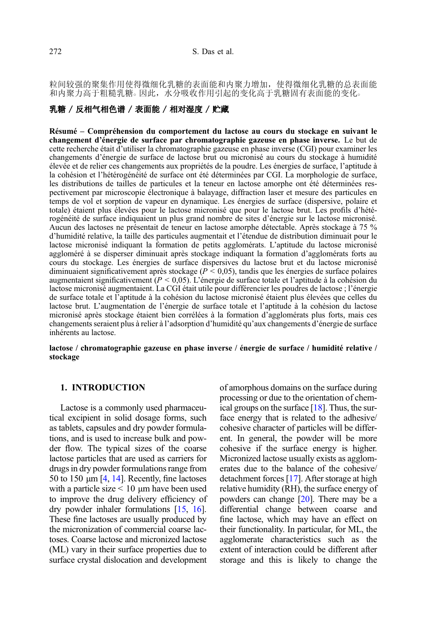粒间较强的聚集作用使得微细化乳糖的表面能和内聚力增加,使得微细化乳糖的总表面能 和内聚力高于粗糙乳糖。因此,水分吸收作用引起的变化高于乳糖固有表面能的变化。

# 乳糖 / 反相气相色谱 / 表面能 / 相对湿度 / 贮藏

Résumé – Compréhension du comportement du lactose au cours du stockage en suivant le changement d'énergie de surface par chromatographie gazeuse en phase inverse. Le but de cette recherche était d'utiliser la chromatographie gazeuse en phase inverse (CGI) pour examiner les changements d'énergie de surface de lactose brut ou micronisé au cours du stockage à humidité élevée et de relier ces changements aux propriétés de la poudre. Les énergies de surface, l'aptitude à la cohésion et l'hétérogénéité de surface ont été déterminées par CGI. La morphologie de surface, les distributions de tailles de particules et la teneur en lactose amorphe ont été déterminées respectivement par microscopie électronique à balayage, diffraction laser et mesure des particules en temps de vol et sorption de vapeur en dynamique. Les énergies de surface (dispersive, polaire et totale) étaient plus élevées pour le lactose micronisé que pour le lactose brut. Les profils d'hétérogénéité de surface indiquaient un plus grand nombre de sites d'énergie sur le lactose micronisé. Aucun des lactoses ne présentait de teneur en lactose amorphe détectable. Après stockage à 75 % d'humidité relative, la taille des particules augmentait et l'étendue de distribution diminuait pour le lactose micronisé indiquant la formation de petits agglomérats. L'aptitude du lactose micronisé aggloméré à se disperser diminuait après stockage indiquant la formation d'agglomérats forts au cours du stockage. Les énergies de surface dispersives du lactose brut et du lactose micronisé diminuaient significativement après stockage ( $P \le 0.05$ ), tandis que les énergies de surface polaires augmentaient significativement ( $P < 0.05$ ). L'énergie de surface totale et l'aptitude à la cohésion du lactose micronisé augmentaient. La CGI était utile pour différencier les poudres de lactose ; l'énergie de surface totale et l'aptitude à la cohésion du lactose micronisé étaient plus élevées que celles du lactose brut. L'augmentation de l'énergie de surface totale et l'aptitude à la cohésion du lactose micronisé après stockage étaient bien corrélées à la formation d'agglomérats plus forts, mais ces changements seraient plus à relier à l'adsorption d'humidité qu'aux changements d'énergie de surface inhérents au lactose.

lactose / chromatographie gazeuse en phase inverse / énergie de surface / humidité relative / stockage

# 1. INTRODUCTION

Lactose is a commonly used pharmaceutical excipient in solid dosage forms, such as tablets, capsules and dry powder formulations, and is used to increase bulk and powder flow. The typical sizes of the coarse lactose particles that are used as carriers for drugs in dry powder formulations range from 50 to 150  $\mu$ m [\[4](#page-13-0), [14](#page-13-0)]. Recently, fine lactoses with a particle size < 10 μm have been used to improve the drug delivery efficiency of dry powder inhaler formulations [\[15](#page-13-0), [16\]](#page-13-0). These fine lactoses are usually produced by the micronization of commercial coarse lactoses. Coarse lactose and micronized lactose (ML) vary in their surface properties due to surface crystal dislocation and development of amorphous domains on the surface during processing or due to the orientation of chemical groups on the surface [[18](#page-13-0)]. Thus, the surface energy that is related to the adhesive/ cohesive character of particles will be different. In general, the powder will be more cohesive if the surface energy is higher. Micronized lactose usually exists as agglomerates due to the balance of the cohesive/ detachment forces [\[17\]](#page-13-0). After storage at high relative humidity (RH), the surface energy of powders can change [\[20\]](#page-13-0). There may be a differential change between coarse and fine lactose, which may have an effect on their functionality. In particular, for ML, the agglomerate characteristics such as the extent of interaction could be different after storage and this is likely to change the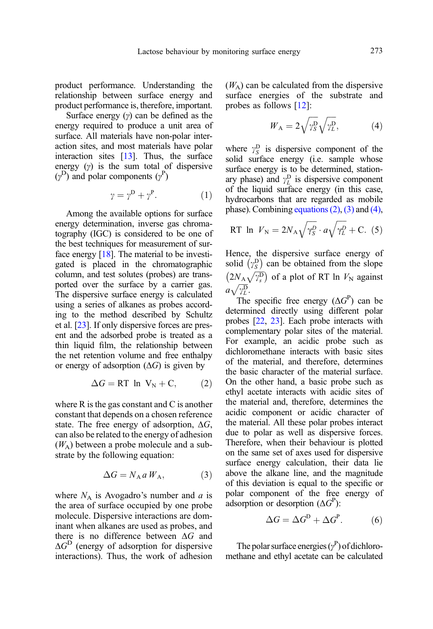product performance. Understanding the relationship between surface energy and product performance is, therefore, important.

Surface energy  $(y)$  can be defined as the energy required to produce a unit area of surface. All materials have non-polar interaction sites, and most materials have polar interaction sites [\[13](#page-13-0)]. Thus, the surface energy  $(y)$  is the sum total of dispersive  $(y^D)$  and polar components  $(y^P)$ 

$$
\gamma = \gamma^{\mathcal{D}} + \gamma^{\mathcal{P}}.\tag{1}
$$

Among the available options for surface energy determination, inverse gas chromatography (IGC) is considered to be one of the best techniques for measurement of surface energy [[18\]](#page-13-0). The material to be investigated is placed in the chromatographic column, and test solutes (probes) are transported over the surface by a carrier gas. The dispersive surface energy is calculated using a series of alkanes as probes according to the method described by Schultz et al. [[23](#page-14-0)]. If only dispersive forces are present and the adsorbed probe is treated as a thin liquid film, the relationship between the net retention volume and free enthalpy or energy of adsorption  $(\Delta G)$  is given by

$$
\Delta G = RT \ln V_N + C, \qquad (2)
$$

where R is the gas constant and C is another constant that depends on a chosen reference state. The free energy of adsorption,  $\Delta G$ , can also be related to the energy of adhesion  $(W_A)$  between a probe molecule and a substrate by the following equation:

$$
\Delta G = N_A a W_A, \tag{3}
$$

where  $N_A$  is Avogadro's number and  $\alpha$  is the area of surface occupied by one probe molecule. Dispersive interactions are dominant when alkanes are used as probes, and there is no difference between  $\Delta G$  and  $\Delta G^D$  (energy of adsorption for dispersive interactions). Thus, the work of adhesion  $(W_{\Delta})$  can be calculated from the dispersive surface energies of the substrate and probes as follows [\[12](#page-13-0)]:

$$
W_{\rm A} = 2\sqrt{\gamma_{\rm S}^{\rm D}}\sqrt{\gamma_{\rm L}^{\rm D}},\tag{4}
$$

where  $\gamma_S^D$  is dispersive component of the solid surface energy (i.e. sample whose surface energy is to be determined, stationary phase) and  $\gamma_L^D$  is dispersive component of the liquid surface energy (in this case, hydrocarbons that are regarded as mobile phase). Combining equations  $(2)$ ,  $(3)$  and  $(4)$ ,

RT ln 
$$
V_N = 2N_A \sqrt{\gamma_S^D} \cdot a \sqrt{\gamma_L^D} + C.
$$
 (5)

Hence, the dispersive surface energy of solid  $(\gamma_S^D)$  can be obtained from the slope  $(2N_A\sqrt{\gamma_s^D})$  of a plot of RT ln  $V_N$  against  $a\sqrt{\gamma_L^{\mathrm{D}}}$ .

The specific free energy  $(\Delta G^P)$  can be determined directly using different polar probes [\[22](#page-14-0), [23](#page-14-0)]. Each probe interacts with complementary polar sites of the material. For example, an acidic probe such as dichloromethane interacts with basic sites of the material, and therefore, determines the basic character of the material surface. On the other hand, a basic probe such as ethyl acetate interacts with acidic sites of the material and, therefore, determines the acidic component or acidic character of the material. All these polar probes interact due to polar as well as dispersive forces. Therefore, when their behaviour is plotted on the same set of axes used for dispersive surface energy calculation, their data lie above the alkane line, and the magnitude of this deviation is equal to the specific or polar component of the free energy of adsorption or desorption  $(\Delta G^P)$ :

$$
\Delta G = \Delta G^{\mathcal{D}} + \Delta G^{\mathcal{P}}.\tag{6}
$$

The polar surface energies  $(y^P)$  of dichloromethane and ethyl acetate can be calculated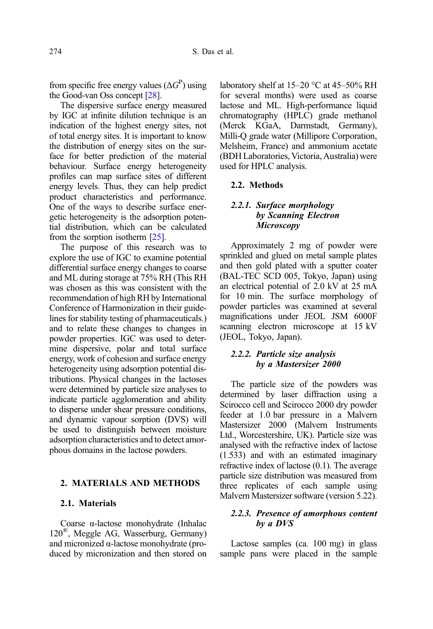from specific free energy values  $(\Delta G^P)$  using the Good-van Oss concept [\[28\]](#page-14-0).

The dispersive surface energy measured by IGC at infinite dilution technique is an indication of the highest energy sites, not of total energy sites. It is important to know the distribution of energy sites on the surface for better prediction of the material behaviour. Surface energy heterogeneity profiles can map surface sites of different energy levels. Thus, they can help predict product characteristics and performance. One of the ways to describe surface energetic heterogeneity is the adsorption potential distribution, which can be calculated from the sorption isotherm [[25](#page-14-0)].

The purpose of this research was to explore the use of IGC to examine potential differential surface energy changes to coarse and ML during storage at 75% RH (This RH was chosen as this was consistent with the recommendation of high RH by International Conference of Harmonization in their guidelines for stability testing of pharmaceuticals.) and to relate these changes to changes in powder properties. IGC was used to determine dispersive, polar and total surface energy, work of cohesion and surface energy heterogeneity using adsorption potential distributions. Physical changes in the lactoses were determined by particle size analyses to indicate particle agglomeration and ability to disperse under shear pressure conditions, and dynamic vapour sorption (DVS) will be used to distinguish between moisture adsorption characteristics and to detect amorphous domains in the lactose powders.

## 2. MATERIALS AND METHODS

# 2.1. Materials

Coarse α-lactose monohydrate (Inhalac  $120^{\circledR}$ , Meggle AG, Wasserburg, Germany) and micronized α-lactose monohydrate (produced by micronization and then stored on laboratory shelf at 15–20 °C at 45–50% RH for several months) were used as coarse lactose and ML. High-performance liquid chromatography (HPLC) grade methanol (Merck KGaA, Darmstadt, Germany), Milli-Q grade water (Millipore Corporation, Melsheim, France) and ammonium acetate (BDH Laboratories, Victoria, Australia) were used for HPLC analysis.

# 2.2. Methods

# 2.2.1. Surface morphology by Scanning Electron **Microscopy**

Approximately 2 mg of powder were sprinkled and glued on metal sample plates and then gold plated with a sputter coater (BAL-TEC SCD 005, Tokyo, Japan) using an electrical potential of 2.0 kV at 25 mA for 10 min. The surface morphology of powder particles was examined at several magnifications under JEOL JSM 6000F scanning electron microscope at 15 kV (JEOL, Tokyo, Japan).

# 2.2.2. Particle size analysis by a Mastersizer 2000

The particle size of the powders was determined by laser diffraction using a Scirocco cell and Scirocco 2000 dry powder feeder at 1.0 bar pressure in a Malvern Mastersizer 2000 (Malvern Instruments Ltd., Worcestershire, UK). Particle size was analysed with the refractive index of lactose (1.533) and with an estimated imaginary refractive index of lactose (0.1). The average particle size distribution was measured from three replicates of each sample using Malvern Mastersizer software (version 5.22).

# 2.2.3. Presence of amorphous content by a DVS

Lactose samples (ca. 100 mg) in glass sample pans were placed in the sample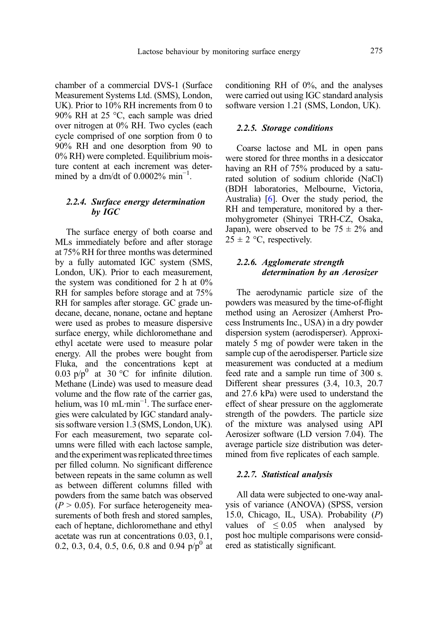chamber of a commercial DVS-1 (Surface Measurement Systems Ltd. (SMS), London, UK). Prior to 10% RH increments from 0 to 90% RH at 25 °C, each sample was dried over nitrogen at 0% RH. Two cycles (each cycle comprised of one sorption from 0 to 90% RH and one desorption from 90 to 0% RH) were completed. Equilibrium moisture content at each increment was deter-

#### 2.2.4. Surface energy determination by IGC

mined by a dm/dt of  $0.0002\%$  min<sup>-1</sup>.

The surface energy of both coarse and MLs immediately before and after storage at 75% RH for three months was determined by a fully automated IGC system (SMS, London, UK). Prior to each measurement, the system was conditioned for 2 h at 0% RH for samples before storage and at 75% RH for samples after storage. GC grade undecane, decane, nonane, octane and heptane were used as probes to measure dispersive surface energy, while dichloromethane and ethyl acetate were used to measure polar energy. All the probes were bought from Fluka, and the concentrations kept at 0.03  $p/p^0$  at 30 °C for infinite dilution. Methane (Linde) was used to measure dead volume and the flow rate of the carrier gas, helium, was 10 mL·min<sup>-1</sup>. The surface energies were calculated by IGC standard analysis software version 1.3 (SMS, London, UK). For each measurement, two separate columns were filled with each lactose sample, and the experiment was replicated three times per filled column. No significant difference between repeats in the same column as well as between different columns filled with powders from the same batch was observed  $(P > 0.05)$ . For surface heterogeneity measurements of both fresh and stored samples, each of heptane, dichloromethane and ethyl acetate was run at concentrations 0.03, 0.1, 0.2, 0.3, 0.4, 0.5, 0.6, 0.8 and 0.94  $p/p<sup>0</sup>$  at conditioning RH of 0%, and the analyses were carried out using IGC standard analysis software version 1.21 (SMS, London, UK).

#### 2.2.5. Storage conditions

Coarse lactose and ML in open pans were stored for three months in a desiccator having an RH of 75% produced by a saturated solution of sodium chloride (NaCl) (BDH laboratories, Melbourne, Victoria, Australia) [[6](#page-13-0)]. Over the study period, the RH and temperature, monitored by a thermohygrometer (Shinyei TRH-CZ, Osaka, Japan), were observed to be  $75 \pm 2\%$  and  $25 \pm 2$  °C, respectively.

# 2.2.6. Agglomerate strength determination by an Aerosizer

The aerodynamic particle size of the powders was measured by the time-of-flight method using an Aerosizer (Amherst Process Instruments Inc., USA) in a dry powder dispersion system (aerodisperser). Approximately 5 mg of powder were taken in the sample cup of the aerodisperser. Particle size measurement was conducted at a medium feed rate and a sample run time of 300 s. Different shear pressures (3.4, 10.3, 20.7 and 27.6 kPa) were used to understand the effect of shear pressure on the agglomerate strength of the powders. The particle size of the mixture was analysed using API Aerosizer software (LD version 7.04). The average particle size distribution was determined from five replicates of each sample.

#### 2.2.7. Statistical analysis

All data were subjected to one-way analysis of variance (ANOVA) (SPSS, version 15.0, Chicago, IL, USA). Probability (P) values of  $\leq 0.05$  when analysed by post hoc multiple comparisons were considered as statistically significant.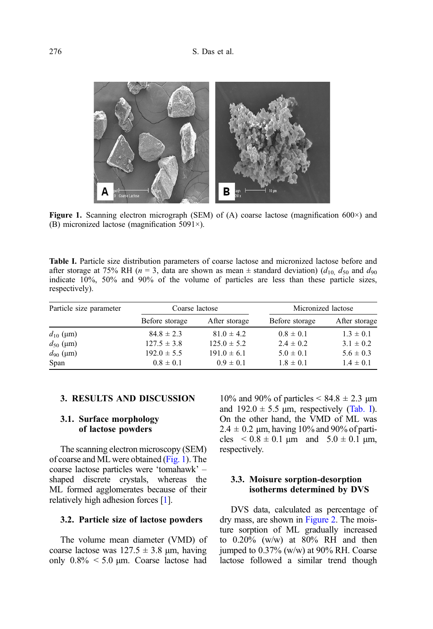<span id="page-5-0"></span>

Figure 1. Scanning electron micrograph (SEM) of (A) coarse lactose (magnification 600 $\times$ ) and (B) micronized lactose (magnification 5091×).

Table I. Particle size distribution parameters of coarse lactose and micronized lactose before and after storage at 75% RH ( $n = 3$ , data are shown as mean  $\pm$  standard deviation) ( $d_{10}$ ,  $d_{50}$  and  $d_{90}$ indicate 10%, 50% and 90% of the volume of particles are less than these particle sizes, respectively).

| Particle size parameter | Coarse lactose  |                 | Micronized lactose |               |
|-------------------------|-----------------|-----------------|--------------------|---------------|
|                         | Before storage  | After storage   | Before storage     | After storage |
| $d_{10}$ (µm)           | $84.8 \pm 2.3$  | $81.0 \pm 4.2$  | $0.8 \pm 0.1$      | $1.3 \pm 0.1$ |
| $d_{50}$ (µm)           | $127.5 \pm 3.8$ | $125.0 \pm 5.2$ | $2.4 \pm 0.2$      | $3.1 \pm 0.2$ |
| $d_{90}$ (µm)           | $192.0 \pm 5.5$ | $191.0 \pm 6.1$ | $5.0 \pm 0.1$      | $5.6 \pm 0.3$ |
| Span                    | $0.8 \pm 0.1$   | $0.9 \pm 0.1$   | $1.8 \pm 0.1$      | $1.4 \pm 0.1$ |

#### 3. RESULTS AND DISCUSSION

#### 3.1. Surface morphology of lactose powders

The scanning electron microscopy (SEM) of coarse and ML were obtained (Fig. 1). The coarse lactose particles were 'tomahawk' – shaped discrete crystals, whereas the ML formed agglomerates because of their relatively high adhesion forces [\[1](#page-13-0)].

#### 3.2. Particle size of lactose powders

The volume mean diameter (VMD) of coarse lactose was  $127.5 \pm 3.8$  μm, having only 0.8% < 5.0 μm. Coarse lactose had

10% and 90% of particles  $\leq 84.8 \pm 2.3$  µm and  $192.0 \pm 5.5$  μm, respectively (Tab. I). On the other hand, the VMD of ML was  $2.4 \pm 0.2$  μm, having 10% and 90% of particles  $< 0.8 \pm 0.1$  μm and  $5.0 \pm 0.1$  μm, respectively.

# 3.3. Moisure sorption-desorption isotherms determined by DVS

DVS data, calculated as percentage of dry mass, are shown in [Figure 2.](#page-6-0) The moisture sorption of ML gradually increased to 0.20% (w/w) at 80% RH and then jumped to 0.37% (w/w) at 90% RH. Coarse lactose followed a similar trend though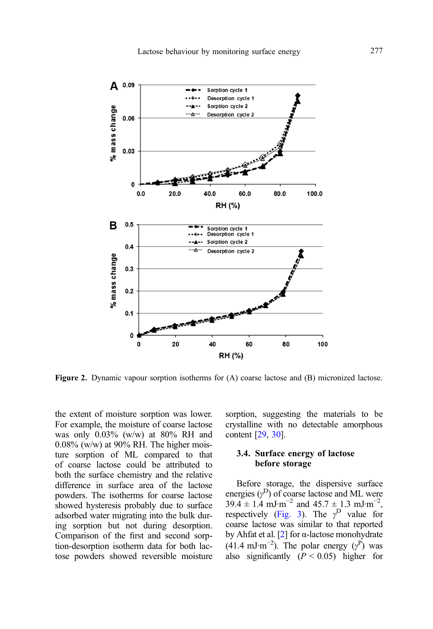<span id="page-6-0"></span>

Figure 2. Dynamic vapour sorption isotherms for (A) coarse lactose and (B) micronized lactose.

the extent of moisture sorption was lower. For example, the moisture of coarse lactose was only 0.03% (w/w) at 80% RH and  $0.08\%$  (w/w) at 90% RH. The higher moisture sorption of ML compared to that of coarse lactose could be attributed to both the surface chemistry and the relative difference in surface area of the lactose powders. The isotherms for coarse lactose showed hysteresis probably due to surface adsorbed water migrating into the bulk during sorption but not during desorption. Comparison of the first and second sorption-desorption isotherm data for both lactose powders showed reversible moisture sorption, suggesting the materials to be crystalline with no detectable amorphous content [\[29,](#page-14-0) [30](#page-14-0)].

# 3.4. Surface energy of lactose before storage

Before storage, the dispersive surface energies  $(y^D)$  of coarse lactose and ML were  $39.4 \pm 1.4 \text{ mJ} \cdot \text{m}^{-2}$  and  $45.7 \pm 1.3 \text{ mJ} \cdot \text{m}^{-2}$ , respectively [\(Fig. 3](#page-7-0)). The  $\gamma^{\text{D}}$  value for coarse lactose was similar to that reported by Ahfat et al. [\[2\]](#page-13-0) for α-lactose monohydrate  $(41.4 \text{ mJ·m}^{-2})$ . The polar energy  $(y^{\text{P}})$  was also significantly  $(P < 0.05)$  higher for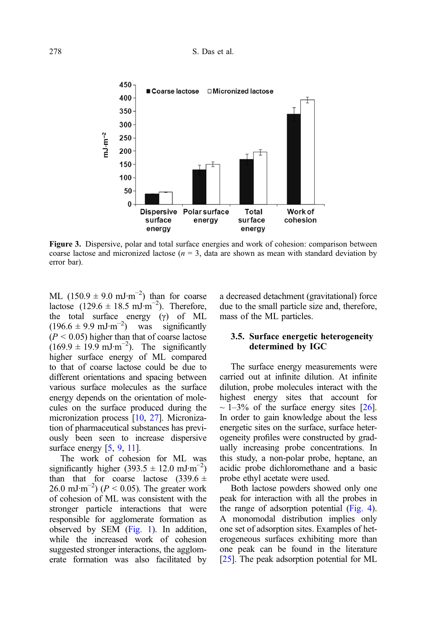<span id="page-7-0"></span>

Figure 3. Dispersive, polar and total surface energies and work of cohesion: comparison between coarse lactose and micronized lactose ( $n = 3$ , data are shown as mean with standard deviation by error bar).

ML  $(150.9 \pm 9.0 \text{ mJ} \cdot \text{m}^{-2})$  than for coarse lactose  $(129.6 \pm 18.5 \text{ mJ·m}^{-2})$ . Therefore, the total surface energy (γ) of ML  $(196.6 \pm 9.9 \text{ mJ} \cdot \text{m}^{-2})$ ) was significantly  $(P < 0.05)$  higher than that of coarse lactose  $(169.9 \pm 19.9 \text{ mJ} \cdot \text{m}^{-2})$ . The significantly higher surface energy of ML compared to that of coarse lactose could be due to different orientations and spacing between various surface molecules as the surface energy depends on the orientation of molecules on the surface produced during the micronization process [[10,](#page-13-0) [27](#page-14-0)]. Micronization of pharmaceutical substances has previously been seen to increase dispersive surface energy  $[5, 9, 11]$  $[5, 9, 11]$  $[5, 9, 11]$  $[5, 9, 11]$  $[5, 9, 11]$ .

The work of cohesion for ML was significantly higher  $(393.5 \pm 12.0 \text{ mJ} \cdot \text{m}^{-2})$ than that for coarse lactose  $(339.6 \pm$ 26.0 mJ·m<sup>-2</sup>) ( $P < 0.05$ ). The greater work of cohesion of ML was consistent with the stronger particle interactions that were responsible for agglomerate formation as observed by SEM [\(Fig. 1](#page-5-0)). In addition, while the increased work of cohesion suggested stronger interactions, the agglomerate formation was also facilitated by

a decreased detachment (gravitational) force due to the small particle size and, therefore, mass of the ML particles.

#### 3.5. Surface energetic heterogeneity determined by IGC

The surface energy measurements were carried out at infinite dilution. At infinite dilution, probe molecules interact with the highest energy sites that account for  $\sim$  1–3% of the surface energy sites [\[26](#page-14-0)]. In order to gain knowledge about the less energetic sites on the surface, surface heterogeneity profiles were constructed by gradually increasing probe concentrations. In this study, a non-polar probe, heptane, an acidic probe dichloromethane and a basic probe ethyl acetate were used.

Both lactose powders showed only one peak for interaction with all the probes in the range of adsorption potential ([Fig. 4](#page-8-0)). A monomodal distribution implies only one set of adsorption sites. Examples of heterogeneous surfaces exhibiting more than one peak can be found in the literature [[25](#page-14-0)]. The peak adsorption potential for ML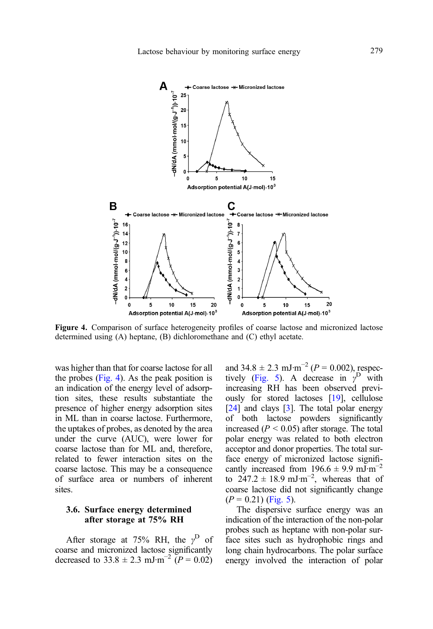<span id="page-8-0"></span>

Figure 4. Comparison of surface heterogeneity profiles of coarse lactose and micronized lactose determined using (A) heptane, (B) dichloromethane and (C) ethyl acetate.

was higher than that for coarse lactose for all the probes (Fig. 4). As the peak position is an indication of the energy level of adsorption sites, these results substantiate the presence of higher energy adsorption sites in ML than in coarse lactose. Furthermore, the uptakes of probes, as denoted by the area under the curve (AUC), were lower for coarse lactose than for ML and, therefore, related to fewer interaction sites on the coarse lactose. This may be a consequence of surface area or numbers of inherent sites.

#### 3.6. Surface energy determined after storage at 75% RH

After storage at 75% RH, the  $\gamma^D$  of coarse and micronized lactose significantly decreased to  $33.8 \pm 2.3$  mJ·m<sup>-2</sup> ( $P = 0.02$ ) and 34.8  $\pm$  2.3 mJ·m<sup>-2</sup> ( $P = 0.002$ ), respec-tively [\(Fig. 5\)](#page-9-0). A decrease in  $\gamma^D$  with increasing RH has been observed previously for stored lactoses [\[19\]](#page-13-0), cellulose [[24\]](#page-14-0) and clays [\[3\]](#page-13-0). The total polar energy of both lactose powders significantly increased ( $P < 0.05$ ) after storage. The total polar energy was related to both electron acceptor and donor properties. The total surface energy of micronized lactose significantly increased from 196.6  $\pm$  9.9 mJ·m<sup>-2</sup> to  $247.2 \pm 18.9 \text{ mJ} \cdot \text{m}^{-2}$ , whereas that of coarse lactose did not significantly change  $(P = 0.21)$  [\(Fig. 5](#page-9-0)).

The dispersive surface energy was an indication of the interaction of the non-polar probes such as heptane with non-polar surface sites such as hydrophobic rings and long chain hydrocarbons. The polar surface energy involved the interaction of polar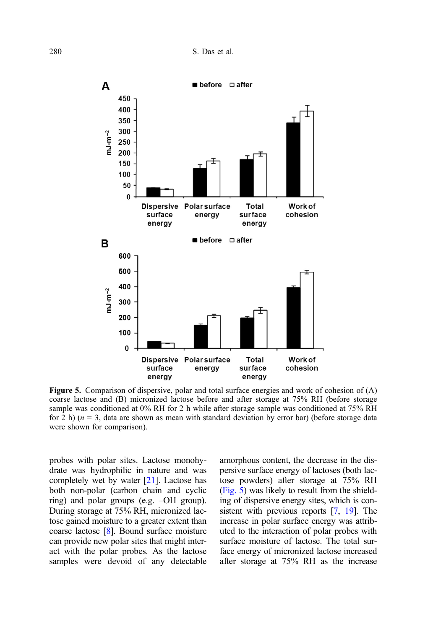<span id="page-9-0"></span>

Figure 5. Comparison of dispersive, polar and total surface energies and work of cohesion of (A) coarse lactose and (B) micronized lactose before and after storage at 75% RH (before storage sample was conditioned at 0% RH for 2 h while after storage sample was conditioned at 75% RH for 2 h)  $(n = 3)$ , data are shown as mean with standard deviation by error bar) (before storage data were shown for comparison).

probes with polar sites. Lactose monohydrate was hydrophilic in nature and was completely wet by water  $[21]$ . Lactose has both non-polar (carbon chain and cyclic ring) and polar groups (e.g. –OH group). During storage at 75% RH, micronized lactose gained moisture to a greater extent than coarse lactose [[8\]](#page-13-0). Bound surface moisture can provide new polar sites that might interact with the polar probes. As the lactose samples were devoid of any detectable amorphous content, the decrease in the dispersive surface energy of lactoses (both lactose powders) after storage at 75% RH (Fig. 5) was likely to result from the shielding of dispersive energy sites, which is con-sistent with previous reports [[7](#page-13-0), [19](#page-13-0)]. The increase in polar surface energy was attributed to the interaction of polar probes with surface moisture of lactose. The total surface energy of micronized lactose increased after storage at 75% RH as the increase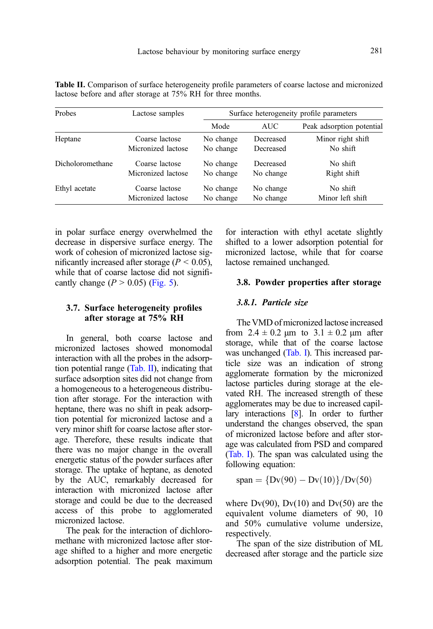| Probes           | Lactose samples    | Surface heterogeneity profile parameters |           |                           |
|------------------|--------------------|------------------------------------------|-----------|---------------------------|
|                  |                    | Mode                                     | AUC       | Peak adsorption potential |
| Heptane          | Coarse lactose     | No change                                | Decreased | Minor right shift         |
|                  | Micronized lactose | No change                                | Decreased | No shift                  |
| Dicholoromethane | Coarse lactose     | No change                                | Decreased | No shift                  |
|                  | Micronized lactose | No change                                | No change | Right shift               |
| Ethyl acetate    | Coarse lactose     | No change                                | No change | No shift                  |
|                  | Micronized lactose | No change                                | No change | Minor left shift          |

Table II. Comparison of surface heterogeneity profile parameters of coarse lactose and micronized lactose before and after storage at 75% RH for three months.

in polar surface energy overwhelmed the decrease in dispersive surface energy. The work of cohesion of micronized lactose significantly increased after storage ( $P < 0.05$ ), while that of coarse lactose did not significantly change  $(P > 0.05)$  [\(Fig. 5](#page-9-0)).

#### 3.7. Surface heterogeneity profiles after storage at 75% RH

In general, both coarse lactose and micronized lactoses showed monomodal interaction with all the probes in the adsorption potential range (Tab. II), indicating that surface adsorption sites did not change from a homogeneous to a heterogeneous distribution after storage. For the interaction with heptane, there was no shift in peak adsorption potential for micronized lactose and a very minor shift for coarse lactose after storage. Therefore, these results indicate that there was no major change in the overall energetic status of the powder surfaces after storage. The uptake of heptane, as denoted by the AUC, remarkably decreased for interaction with micronized lactose after storage and could be due to the decreased access of this probe to agglomerated micronized lactose.

The peak for the interaction of dichloromethane with micronized lactose after storage shifted to a higher and more energetic adsorption potential. The peak maximum for interaction with ethyl acetate slightly shifted to a lower adsorption potential for micronized lactose, while that for coarse lactose remained unchanged.

#### 3.8. Powder properties after storage

#### 3.8.1. Particle size

The VMD of micronized lactose increased from  $2.4 \pm 0.2$  um to  $3.1 \pm 0.2$  um after storage, while that of the coarse lactose was unchanged [\(Tab. I\)](#page-5-0). This increased particle size was an indication of strong agglomerate formation by the micronized lactose particles during storage at the elevated RH. The increased strength of these agglomerates may be due to increased capillary interactions [[8\]](#page-13-0). In order to further understand the changes observed, the span of micronized lactose before and after storage was calculated from PSD and compared ([Tab. I\)](#page-5-0). The span was calculated using the following equation:

$$
span = {Dv(90) - Dv(10)}/Dv(50)
$$

where  $Dv(90)$ ,  $Dv(10)$  and  $Dv(50)$  are the equivalent volume diameters of 90, 10 and 50% cumulative volume undersize, respectively.

The span of the size distribution of ML decreased after storage and the particle size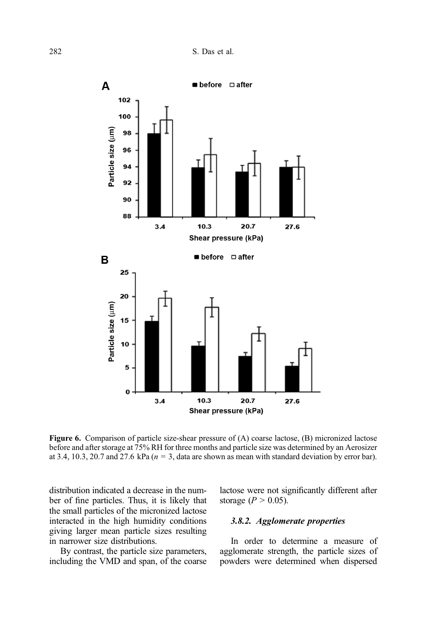<span id="page-11-0"></span>

Figure 6. Comparison of particle size-shear pressure of (A) coarse lactose, (B) micronized lactose before and after storage at 75% RH for three months and particle size was determined by an Aerosizer at 3.4, 10.3, 20.7 and 27.6 kPa ( $n = 3$ , data are shown as mean with standard deviation by error bar).

distribution indicated a decrease in the number of fine particles. Thus, it is likely that the small particles of the micronized lactose interacted in the high humidity conditions giving larger mean particle sizes resulting in narrower size distributions.

By contrast, the particle size parameters, including the VMD and span, of the coarse lactose were not significantly different after storage ( $P > 0.05$ ).

## 3.8.2. Agglomerate properties

In order to determine a measure of agglomerate strength, the particle sizes of powders were determined when dispersed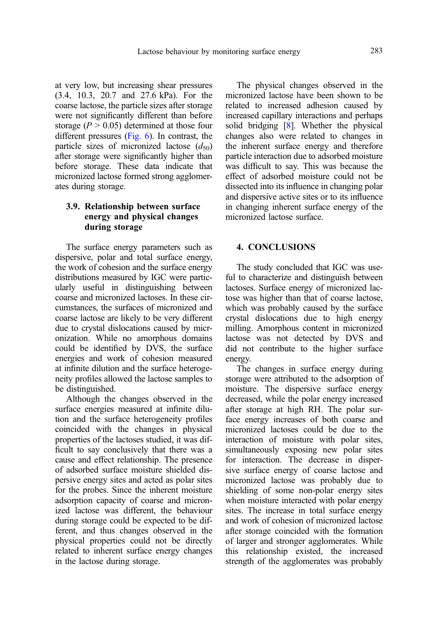at very low, but increasing shear pressures (3.4, 10.3, 20.7 and 27.6 kPa). For the coarse lactose, the particle sizes after storage were not significantly different than before storage ( $P > 0.05$ ) determined at those four different pressures ([Fig. 6](#page-11-0)). In contrast, the particle sizes of micronized lactose  $(d_{50})$ after storage were significantly higher than before storage. These data indicate that micronized lactose formed strong agglomerates during storage.

# 3.9. Relationship between surface energy and physical changes during storage

The surface energy parameters such as dispersive, polar and total surface energy, the work of cohesion and the surface energy distributions measured by IGC were particularly useful in distinguishing between coarse and micronized lactoses. In these circumstances, the surfaces of micronized and coarse lactose are likely to be very different due to crystal dislocations caused by micronization. While no amorphous domains could be identified by DVS, the surface energies and work of cohesion measured at infinite dilution and the surface heterogeneity profiles allowed the lactose samples to be distinguished.

Although the changes observed in the surface energies measured at infinite dilution and the surface heterogeneity profiles coincided with the changes in physical properties of the lactoses studied, it was difficult to say conclusively that there was a cause and effect relationship. The presence of adsorbed surface moisture shielded dispersive energy sites and acted as polar sites for the probes. Since the inherent moisture adsorption capacity of coarse and micronized lactose was different, the behaviour during storage could be expected to be different, and thus changes observed in the physical properties could not be directly related to inherent surface energy changes in the lactose during storage.

The physical changes observed in the micronized lactose have been shown to be related to increased adhesion caused by increased capillary interactions and perhaps solid bridging [\[8](#page-13-0)]. Whether the physical changes also were related to changes in the inherent surface energy and therefore particle interaction due to adsorbed moisture was difficult to say. This was because the effect of adsorbed moisture could not be dissected into its influence in changing polar and dispersive active sites or to its influence in changing inherent surface energy of the micronized lactose surface.

#### 4. CONCLUSIONS

The study concluded that IGC was useful to characterize and distinguish between lactoses. Surface energy of micronized lactose was higher than that of coarse lactose, which was probably caused by the surface crystal dislocations due to high energy milling. Amorphous content in micronized lactose was not detected by DVS and did not contribute to the higher surface energy.

The changes in surface energy during storage were attributed to the adsorption of moisture. The dispersive surface energy decreased, while the polar energy increased after storage at high RH. The polar surface energy increases of both coarse and micronized lactoses could be due to the interaction of moisture with polar sites, simultaneously exposing new polar sites for interaction. The decrease in dispersive surface energy of coarse lactose and micronized lactose was probably due to shielding of some non-polar energy sites when moisture interacted with polar energy sites. The increase in total surface energy and work of cohesion of micronized lactose after storage coincided with the formation of larger and stronger agglomerates. While this relationship existed, the increased strength of the agglomerates was probably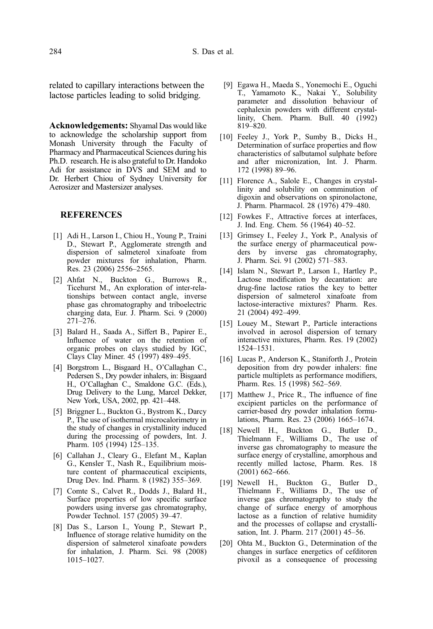<span id="page-13-0"></span>related to capillary interactions between the lactose particles leading to solid bridging.

Acknowledgements: Shyamal Das would like to acknowledge the scholarship support from Monash University through the Faculty of Pharmacy and Pharmaceutical Sciences during his Ph.D. research. He is also grateful to Dr. Handoko Adi for assistance in DVS and SEM and to Dr. Herbert Chiou of Sydney University for Aerosizer and Mastersizer analyses.

#### REFERENCES

- [1] Adi H., Larson I., Chiou H., Young P., Traini D., Stewart P., Agglomerate strength and dispersion of salmeterol xinafoate from powder mixtures for inhalation, Pharm. Res. 23 (2006) 2556–2565.
- [2] Ahfat N., Buckton G., Burrows R., Ticehurst M., An exploration of inter-relationships between contact angle, inverse phase gas chromatography and triboelectric charging data, Eur. J. Pharm. Sci. 9 (2000) 271–276.
- [3] Balard H., Saada A., Siffert B., Papirer E., Influence of water on the retention of organic probes on clays studied by IGC, Clays Clay Miner. 45 (1997) 489–495.
- [4] Borgstrom L., Bisgaard H., O'Callaghan C. Pedersen S., Dry powder inhalers, in: Bisgaard H., O'Callaghan C., Smaldone G.C. (Eds.), Drug Delivery to the Lung, Marcel Dekker, New York, USA, 2002, pp. 421–448.
- [5] Briggner L., Buckton G., Bystrom K., Darcy P., The use of isothermal microcalorimetry in the study of changes in crystallinity induced during the processing of powders, Int. J. Pharm. 105 (1994) 125–135.
- [6] Callahan J., Cleary G., Elefant M., Kaplan G., Kensler T., Nash R., Equilibrium moisture content of pharmaceutical excipients, Drug Dev. Ind. Pharm. 8 (1982) 355–369.
- [7] Comte S., Calvet R., Dodds J., Balard H., Surface properties of low specific surface powders using inverse gas chromatography, Powder Technol. 157 (2005) 39–47.
- [8] Das S., Larson I., Young P., Stewart P., Influence of storage relative humidity on the dispersion of salmeterol xinafoate powders for inhalation, J. Pharm. Sci. 98 (2008) 1015–1027.
- [9] Egawa H., Maeda S., Yonemochi E., Oguchi T., Yamamoto K., Nakai Y., Solubility parameter and dissolution behaviour of cephalexin powders with different crystallinity, Chem. Pharm. Bull. 40 (1992) 819–820.
- [10] Feeley J., York P., Sumby B., Dicks H., Determination of surface properties and flow characteristics of salbutamol sulphate before and after micronization, Int. J. Pharm. 172 (1998) 89–96.
- [11] Florence A., Salole E., Changes in crystallinity and solubility on comminution of digoxin and observations on spironolactone, J. Pharm. Pharmacol. 28 (1976) 479–480.
- [12] Fowkes F., Attractive forces at interfaces, J. Ind. Eng. Chem. 56 (1964) 40–52.
- [13] Grimsey I., Feeley J., York P., Analysis of the surface energy of pharmaceutical powders by inverse gas chromatography, J. Pharm. Sci. 91 (2002) 571–583.
- [14] Islam N., Stewart P., Larson I., Hartley P., Lactose modification by decantation: are drug-fine lactose ratios the key to better dispersion of salmeterol xinafoate from lactose-interactive mixtures? Pharm. Res. 21 (2004) 492–499.
- [15] Louey M., Stewart P., Particle interactions involved in aerosol dispersion of ternary interactive mixtures, Pharm. Res. 19 (2002) 1524–1531.
- [16] Lucas P., Anderson K., Staniforth J., Protein deposition from dry powder inhalers: fine particle multiplets as performance modifiers, Pharm. Res. 15 (1998) 562–569.
- [17] Matthew J., Price R., The influence of fine excipient particles on the performance of carrier-based dry powder inhalation formulations, Pharm. Res. 23 (2006) 1665–1674.
- [18] Newell H., Buckton G., Butler D., Thielmann F., Williams D., The use of inverse gas chromatography to measure the surface energy of crystalline, amorphous and recently milled lactose, Pharm. Res. 18 (2001) 662–666.
- [19] Newell H., Buckton G., Butler D., Thielmann F., Williams D., The use of inverse gas chromatography to study the change of surface energy of amorphous lactose as a function of relative humidity and the processes of collapse and crystallisation, Int. J. Pharm. 217 (2001) 45–56.
- [20] Ohta M., Buckton G., Determination of the changes in surface energetics of cefditoren pivoxil as a consequence of processing